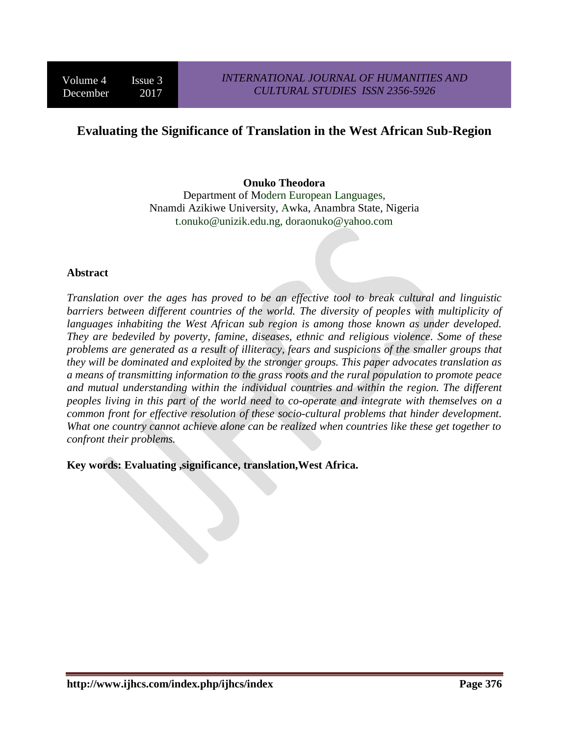# **Evaluating the Significance of Translation in the West African Sub-Region**

## **Onuko Theodora**

Department of Modern European Languages, Nnamdi Azikiwe University, Awka, Anambra State, Nigeria t.onuko@unizik.edu.ng, doraonuko@yahoo.com

### **Abstract**

*Translation over the ages has proved to be an effective tool to break cultural and linguistic barriers between different countries of the world. The diversity of peoples with multiplicity of languages inhabiting the West African sub region is among those known as under developed. They are bedeviled by poverty, famine, diseases, ethnic and religious violence. Some of these problems are generated as a result of illiteracy, fears and suspicions of the smaller groups that they will be dominated and exploited by the stronger groups. This paper advocates translation as a means of transmitting information to the grass roots and the rural population to promote peace and mutual understanding within the individual countries and within the region. The different peoples living in this part of the world need to co-operate and integrate with themselves on a common front for effective resolution of these socio-cultural problems that hinder development. What one country cannot achieve alone can be realized when countries like these get together to confront their problems.*

**Key words: Evaluating ,significance, translation,West Africa.**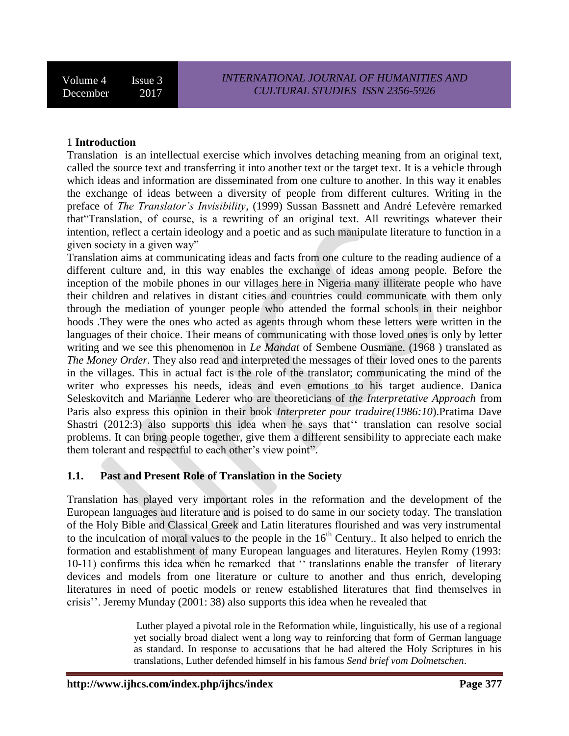### 1 **Introduction**

Translation is an intellectual exercise which involves detaching meaning from an original text, called the source text and transferring it into another text or the target text. It is a vehicle through which ideas and information are disseminated from one culture to another. In this way it enables the exchange of ideas between a diversity of people from different cultures. Writing in the preface of *The Translator's Invisibility*, (1999) Sussan Bassnett and André Lefevère remarked that"Translation, of course, is a rewriting of an original text. All rewritings whatever their intention, reflect a certain ideology and a poetic and as such manipulate literature to function in a given society in a given way"

Translation aims at communicating ideas and facts from one culture to the reading audience of a different culture and, in this way enables the exchange of ideas among people. Before the inception of the mobile phones in our villages here in Nigeria many illiterate people who have their children and relatives in distant cities and countries could communicate with them only through the mediation of younger people who attended the formal schools in their neighbor hoods .They were the ones who acted as agents through whom these letters were written in the languages of their choice. Their means of communicating with those loved ones is only by letter writing and we see this phenomenon in *Le Mandat* of Sembene Ousmane. (1968 ) translated as *The Money Order*. They also read and interpreted the messages of their loved ones to the parents in the villages. This in actual fact is the role of the translator; communicating the mind of the writer who expresses his needs, ideas and even emotions to his target audience. Danica Seleskovitch and Marianne Lederer who are theoreticians of *the Interpretative Approach* from Paris also express this opinion in their book *Interpreter pour traduire(1986:10*).Pratima Dave Shastri (2012:3) also supports this idea when he says that'' translation can resolve social problems. It can bring people together, give them a different sensibility to appreciate each make them tolerant and respectful to each other's view point".

### **1.1. Past and Present Role of Translation in the Society**

Translation has played very important roles in the reformation and the development of the European languages and literature and is poised to do same in our society today. The translation of the Holy Bible and Classical Greek and Latin literatures flourished and was very instrumental to the inculcation of moral values to the people in the  $16<sup>th</sup>$  Century.. It also helped to enrich the formation and establishment of many European languages and literatures. Heylen Romy (1993: 10-11) confirms this idea when he remarked that '' translations enable the transfer of literary devices and models from one literature or culture to another and thus enrich, developing literatures in need of poetic models or renew established literatures that find themselves in crisis''. Jeremy Munday (2001: 38) also supports this idea when he revealed that

> Luther played a pivotal role in the Reformation while, linguistically, his use of a regional yet socially broad dialect went a long way to reinforcing that form of German language as standard. In response to accusations that he had altered the Holy Scriptures in his translations, Luther defended himself in his famous *Send brief vom Dolmetschen*.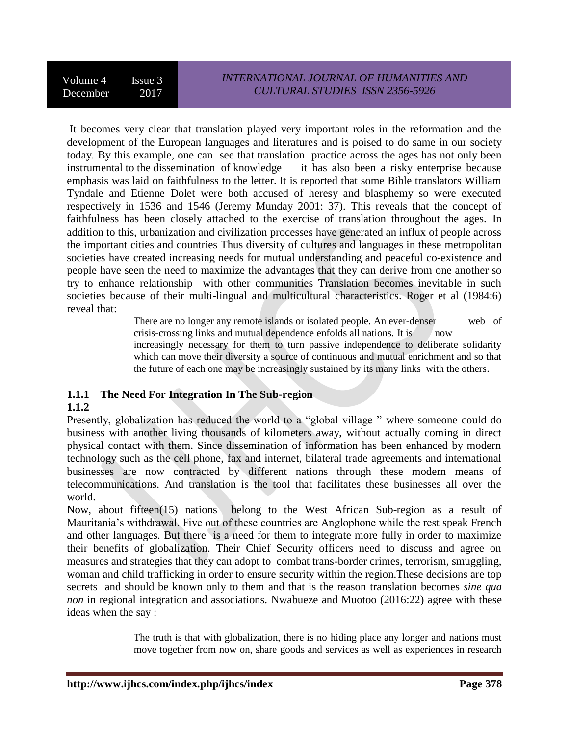It becomes very clear that translation played very important roles in the reformation and the development of the European languages and literatures and is poised to do same in our society today. By this example, one can see that translation practice across the ages has not only been instrumental to the dissemination of knowledge it has also been a risky enterprise because emphasis was laid on faithfulness to the letter. It is reported that some Bible translators William Tyndale and Etienne Dolet were both accused of heresy and blasphemy so were executed respectively in 1536 and 1546 (Jeremy Munday 2001: 37). This reveals that the concept of faithfulness has been closely attached to the exercise of translation throughout the ages. In addition to this, urbanization and civilization processes have generated an influx of people across the important cities and countries Thus diversity of cultures and languages in these metropolitan societies have created increasing needs for mutual understanding and peaceful co-existence and people have seen the need to maximize the advantages that they can derive from one another so try to enhance relationship with other communities Translation becomes inevitable in such societies because of their multi-lingual and multicultural characteristics. Roger et al (1984:6) reveal that:

There are no longer any remote islands or isolated people. An ever-denser web of crisis-crossing links and mutual dependence enfolds all nations. It is now

increasingly necessary for them to turn passive independence to deliberate solidarity which can move their diversity a source of continuous and mutual enrichment and so that the future of each one may be increasingly sustained by its many links with the others.

# **1.1.1 The Need For Integration In The Sub-region**

## **1.1.2**

Presently, globalization has reduced the world to a "global village " where someone could do business with another living thousands of kilometers away, without actually coming in direct physical contact with them. Since dissemination of information has been enhanced by modern technology such as the cell phone, fax and internet, bilateral trade agreements and international businesses are now contracted by different nations through these modern means of telecommunications. And translation is the tool that facilitates these businesses all over the world.

Now, about fifteen(15) nations belong to the West African Sub-region as a result of Mauritania's withdrawal. Five out of these countries are Anglophone while the rest speak French and other languages. But there is a need for them to integrate more fully in order to maximize their benefits of globalization. Their Chief Security officers need to discuss and agree on measures and strategies that they can adopt to combat trans-border crimes, terrorism, smuggling, woman and child trafficking in order to ensure security within the region.These decisions are top secrets and should be known only to them and that is the reason translation becomes *sine qua non* in regional integration and associations. Nwabueze and Muotoo (2016:22) agree with these ideas when the say :

> The truth is that with globalization, there is no hiding place any longer and nations must move together from now on, share goods and services as well as experiences in research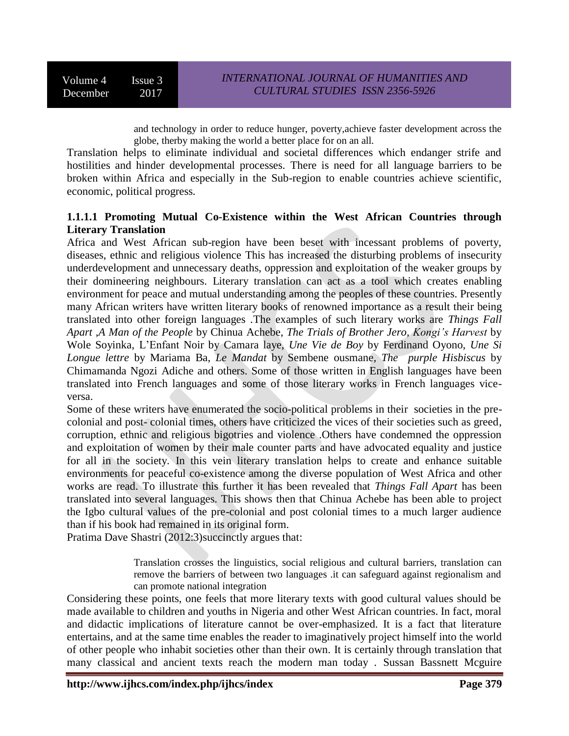and technology in order to reduce hunger, poverty,achieve faster development across the globe, therby making the world a better place for on an all.

Translation helps to eliminate individual and societal differences which endanger strife and hostilities and hinder developmental processes. There is need for all language barriers to be broken within Africa and especially in the Sub-region to enable countries achieve scientific, economic, political progress.

## **1.1.1.1 Promoting Mutual Co-Existence within the West African Countries through Literary Translation**

Africa and West African sub-region have been beset with incessant problems of poverty, diseases, ethnic and religious violence This has increased the disturbing problems of insecurity underdevelopment and unnecessary deaths, oppression and exploitation of the weaker groups by their domineering neighbours. Literary translation can act as a tool which creates enabling environment for peace and mutual understanding among the peoples of these countries. Presently many African writers have written literary books of renowned importance as a result their being translated into other foreign languages .The examples of such literary works are *Things Fall Apart* ,*A Man of the People* by Chinua Achebe, *The Trials of Brother Jero, Kongi's Harvest* by Wole Soyinka, L'Enfant Noir by Camara laye, *Une Vie de Boy* by Ferdinand Oyono, *Une Si Longue lettre* by Mariama Ba, *Le Mandat* by Sembene ousmane, *The purple Hisbiscus* by Chimamanda Ngozi Adiche and others. Some of those written in English languages have been translated into French languages and some of those literary works in French languages viceversa.

Some of these writers have enumerated the socio-political problems in their societies in the precolonial and post- colonial times, others have criticized the vices of their societies such as greed, corruption, ethnic and religious bigotries and violence .Others have condemned the oppression and exploitation of women by their male counter parts and have advocated equality and justice for all in the society. In this vein literary translation helps to create and enhance suitable environments for peaceful co-existence among the diverse population of West Africa and other works are read. To illustrate this further it has been revealed that *Things Fall Apart* has been translated into several languages. This shows then that Chinua Achebe has been able to project the Igbo cultural values of the pre-colonial and post colonial times to a much larger audience than if his book had remained in its original form.

Pratima Dave Shastri (2012:3)succinctly argues that:

Translation crosses the linguistics, social religious and cultural barriers, translation can remove the barriers of between two languages .it can safeguard against regionalism and can promote national integration

Considering these points, one feels that more literary texts with good cultural values should be made available to children and youths in Nigeria and other West African countries. In fact, moral and didactic implications of literature cannot be over-emphasized. It is a fact that literature entertains, and at the same time enables the reader to imaginatively project himself into the world of other people who inhabit societies other than their own. It is certainly through translation that many classical and ancient texts reach the modern man today . Sussan Bassnett Mcguire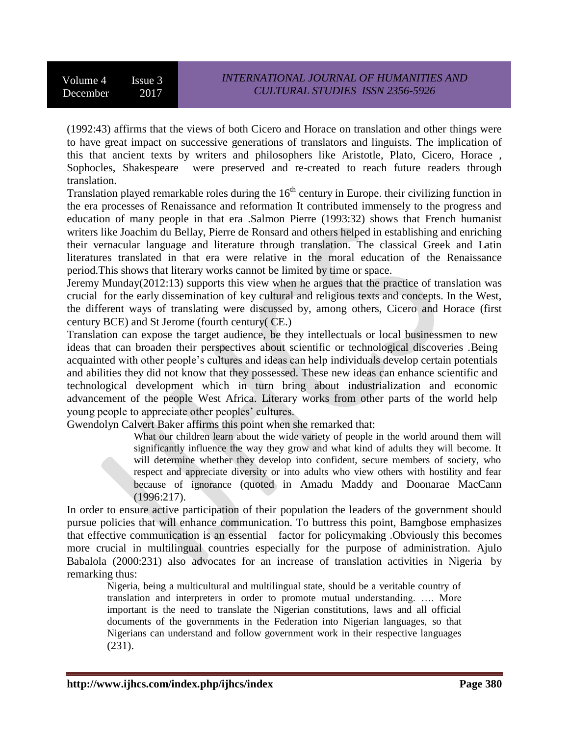(1992:43) affirms that the views of both Cicero and Horace on translation and other things were to have great impact on successive generations of translators and linguists. The implication of this that ancient texts by writers and philosophers like Aristotle, Plato, Cicero, Horace , Sophocles, Shakespeare were preserved and re-created to reach future readers through translation.

Translation played remarkable roles during the  $16<sup>th</sup>$  century in Europe. their civilizing function in the era processes of Renaissance and reformation It contributed immensely to the progress and education of many people in that era .Salmon Pierre (1993:32) shows that French humanist writers like Joachim du Bellay, Pierre de Ronsard and others helped in establishing and enriching their vernacular language and literature through translation. The classical Greek and Latin literatures translated in that era were relative in the moral education of the Renaissance period.This shows that literary works cannot be limited by time or space.

Jeremy Munday(2012:13) supports this view when he argues that the practice of translation was crucial for the early dissemination of key cultural and religious texts and concepts. In the West, the different ways of translating were discussed by, among others, Cicero and Horace (first century BCE) and St Jerome (fourth century( CE.)

Translation can expose the target audience, be they intellectuals or local businessmen to new ideas that can broaden their perspectives about scientific or technological discoveries .Being acquainted with other people's cultures and ideas can help individuals develop certain potentials and abilities they did not know that they possessed. These new ideas can enhance scientific and technological development which in turn bring about industrialization and economic advancement of the people West Africa. Literary works from other parts of the world help young people to appreciate other peoples' cultures.

Gwendolyn Calvert Baker affirms this point when she remarked that:

What our children learn about the wide variety of people in the world around them will significantly influence the way they grow and what kind of adults they will become. It will determine whether they develop into confident, secure members of society, who respect and appreciate diversity or into adults who view others with hostility and fear because of ignorance (quoted in Amadu Maddy and Doonarae MacCann (1996:217).

In order to ensure active participation of their population the leaders of the government should pursue policies that will enhance communication. To buttress this point, Bamgbose emphasizes that effective communication is an essential factor for policymaking .Obviously this becomes more crucial in multilingual countries especially for the purpose of administration. Ajulo Babalola (2000:231) also advocates for an increase of translation activities in Nigeria by remarking thus:

Nigeria, being a multicultural and multilingual state, should be a veritable country of translation and interpreters in order to promote mutual understanding. …. More important is the need to translate the Nigerian constitutions, laws and all official documents of the governments in the Federation into Nigerian languages, so that Nigerians can understand and follow government work in their respective languages (231).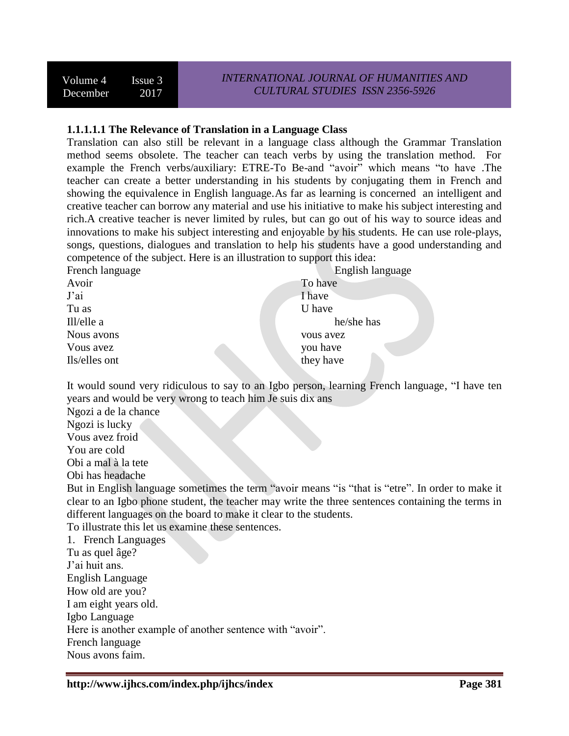### **1.1.1.1.1 The Relevance of Translation in a Language Class**

Translation can also still be relevant in a language class although the Grammar Translation method seems obsolete. The teacher can teach verbs by using the translation method. For example the French verbs/auxiliary: ETRE-To Be-and "avoir" which means "to have .The teacher can create a better understanding in his students by conjugating them in French and showing the equivalence in English language.As far as learning is concerned an intelligent and creative teacher can borrow any material and use his initiative to make his subject interesting and rich.A creative teacher is never limited by rules, but can go out of his way to source ideas and innovations to make his subject interesting and enjoyable by his students. He can use role-plays, songs, questions, dialogues and translation to help his students have a good understanding and competence of the subject. Here is an illustration to support this idea:

| French language | English language |
|-----------------|------------------|
| Avoir           | To have          |
| J'ai            | I have           |
| Tu as           | U have           |
| Ill/elle a      | he/she has       |
| Nous avons      | vous avez        |
| Vous avez       | you have         |
| Ils/elles ont   | they have        |
|                 |                  |

It would sound very ridiculous to say to an Igbo person, learning French language, "I have ten years and would be very wrong to teach him Je suis dix ans

Ngozi a de la chance Ngozi is lucky Vous avez froid You are cold Obi a mal à la tete Obi has headache But in English language sometimes the term "avoir means "is "that is "etre". In order to make it clear to an Igbo phone student, the teacher may write the three sentences containing the terms in different languages on the board to make it clear to the students. To illustrate this let us examine these sentences. 1. French Languages Tu as quel âge? J'ai huit ans. English Language How old are you? I am eight years old. Igbo Language Here is another example of another sentence with "avoir". French language Nous avons faim.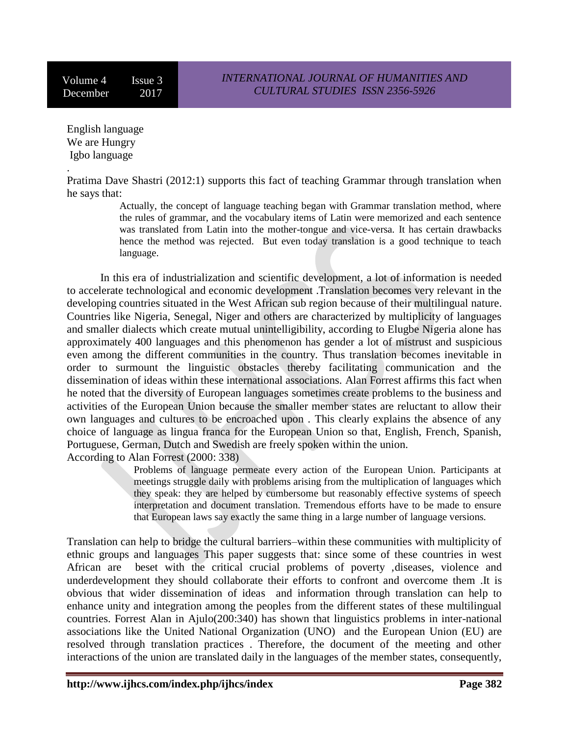Volume 4 Issue 3 December 2017

English language We are Hungry Igbo language

.

Pratima Dave Shastri (2012:1) supports this fact of teaching Grammar through translation when he says that:

> Actually, the concept of language teaching began with Grammar translation method, where the rules of grammar, and the vocabulary items of Latin were memorized and each sentence was translated from Latin into the mother-tongue and vice-versa. It has certain drawbacks hence the method was rejected. But even today translation is a good technique to teach language.

In this era of industrialization and scientific development, a lot of information is needed to accelerate technological and economic development .Translation becomes very relevant in the developing countries situated in the West African sub region because of their multilingual nature. Countries like Nigeria, Senegal, Niger and others are characterized by multiplicity of languages and smaller dialects which create mutual unintelligibility, according to Elugbe Nigeria alone has approximately 400 languages and this phenomenon has gender a lot of mistrust and suspicious even among the different communities in the country. Thus translation becomes inevitable in order to surmount the linguistic obstacles thereby facilitating communication and the dissemination of ideas within these international associations. Alan Forrest affirms this fact when he noted that the diversity of European languages sometimes create problems to the business and activities of the European Union because the smaller member states are reluctant to allow their own languages and cultures to be encroached upon . This clearly explains the absence of any choice of language as lingua franca for the European Union so that, English, French, Spanish, Portuguese, German, Dutch and Swedish are freely spoken within the union. According to Alan Forrest (2000: 338)

> Problems of language permeate every action of the European Union. Participants at meetings struggle daily with problems arising from the multiplication of languages which they speak: they are helped by cumbersome but reasonably effective systems of speech interpretation and document translation. Tremendous efforts have to be made to ensure that European laws say exactly the same thing in a large number of language versions.

Translation can help to bridge the cultural barriers–within these communities with multiplicity of ethnic groups and languages This paper suggests that: since some of these countries in west African are beset with the critical crucial problems of poverty ,diseases, violence and underdevelopment they should collaborate their efforts to confront and overcome them .It is obvious that wider dissemination of ideas and information through translation can help to enhance unity and integration among the peoples from the different states of these multilingual countries. Forrest Alan in Ajulo(200:340) has shown that linguistics problems in inter-national associations like the United National Organization (UNO) and the European Union (EU) are resolved through translation practices . Therefore, the document of the meeting and other interactions of the union are translated daily in the languages of the member states, consequently,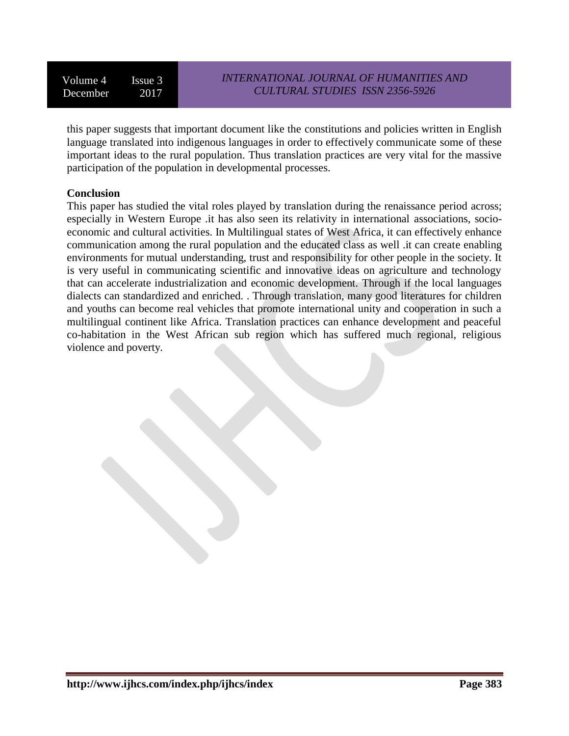this paper suggests that important document like the constitutions and policies written in English language translated into indigenous languages in order to effectively communicate some of these important ideas to the rural population. Thus translation practices are very vital for the massive participation of the population in developmental processes.

### **Conclusion**

This paper has studied the vital roles played by translation during the renaissance period across; especially in Western Europe .it has also seen its relativity in international associations, socioeconomic and cultural activities. In Multilingual states of West Africa, it can effectively enhance communication among the rural population and the educated class as well .it can create enabling environments for mutual understanding, trust and responsibility for other people in the society. It is very useful in communicating scientific and innovative ideas on agriculture and technology that can accelerate industrialization and economic development. Through if the local languages dialects can standardized and enriched. . Through translation, many good literatures for children and youths can become real vehicles that promote international unity and cooperation in such a multilingual continent like Africa. Translation practices can enhance development and peaceful co-habitation in the West African sub region which has suffered much regional, religious violence and poverty.